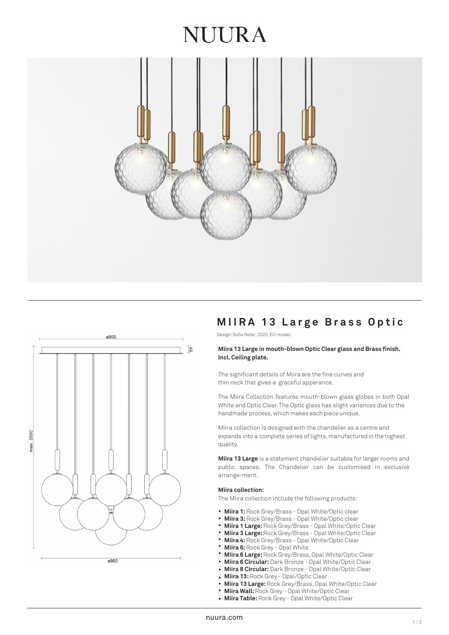# NUIRA





# **MIIRA 13 L arge Brass Optic**

Design: Sofie Refer, 2020. EU-model.

## **Miira 13 Large in mouth-blown Optic Clear glass and Brass finish. Incl. Ceiling plate.**

The significant details of Miira are the fine curves and thin neck that gives a graceful apperance.

The Miira Collection features mouth-blown glass globes in both Opal White and Optic Clear. The Optic glass has slight variances due to the handmade process, which makes each piece unique.

Miira collection is designed with the chandelier as a centre and expands into a complete series of lights, manufactured in the highest quality.

**Miira 13 Large** is a statement chandelier suitable for larger rooms and public spaces. The Chandelier can be customised in exclusive arrange-ment.

#### **Miira collection:**

The Miira collection include the following products:

- Miira 1: Rock Grey/Brass Opal White/Optic clear
- **Miira 3:** Rock Grey/Brass Opal White/Optic clear •
- **Miira 1 Large:** Rock Grey/Brass Opal White/Optic Clear •
- **Miira 3 Large:** Rock Grey/Brass Opal White/Optic Clear •
- **Miira 4:** Rock Grey/Brass Opal White/Optic Clear •
- **Miira 6:** Rock Grey Opal White •
- **Miira 6 Large:** Rock Grey/Brass, Opal White/Optic Clear •
- **Miira 6 Circular:** Dark Bronze Opal White/Optic Clear •
- **Miira 8 Circular:** Dark Bronze Opal White/Optic Clear •
- **Miira 13:** Rock Grey - Opal/Optic Clear
- **Miira 13 Large:** Rock Grey/Brass, Opal White/Optic Clear •
- **Miira Wall:** Rock Grey Opal White/Optic Clear •
- **Miira Table:** Rock Grey Opal White/Optic Clear •